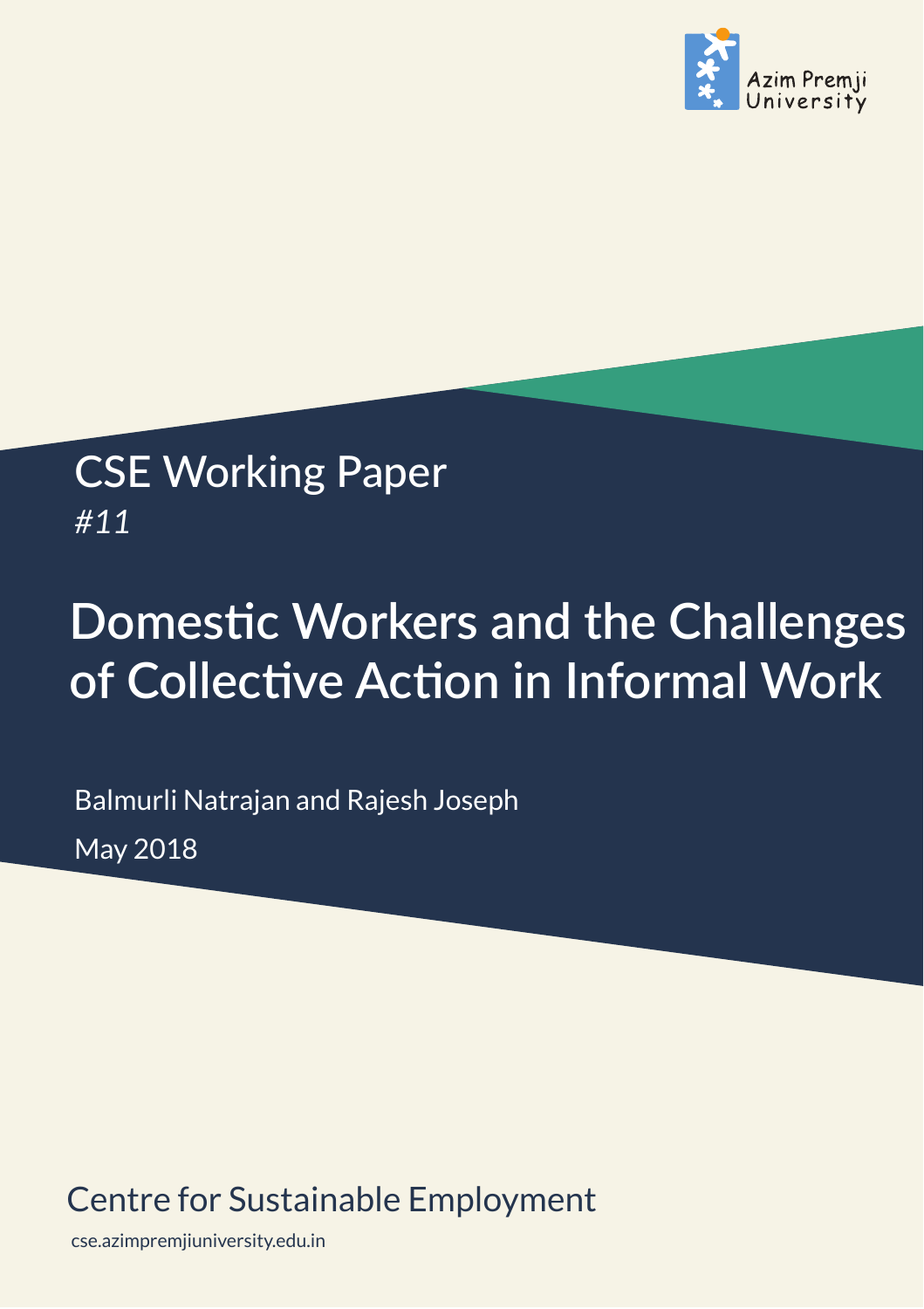

## CSE Working Paper *#11*

# **Domestic Workers and the Challenges** of Collective Action in Informal Work

Balmurli Natrajan and Rajesh Joseph May 2018

### Centre for Sustainable Employment

cse.azimpremjiuniversity.edu.in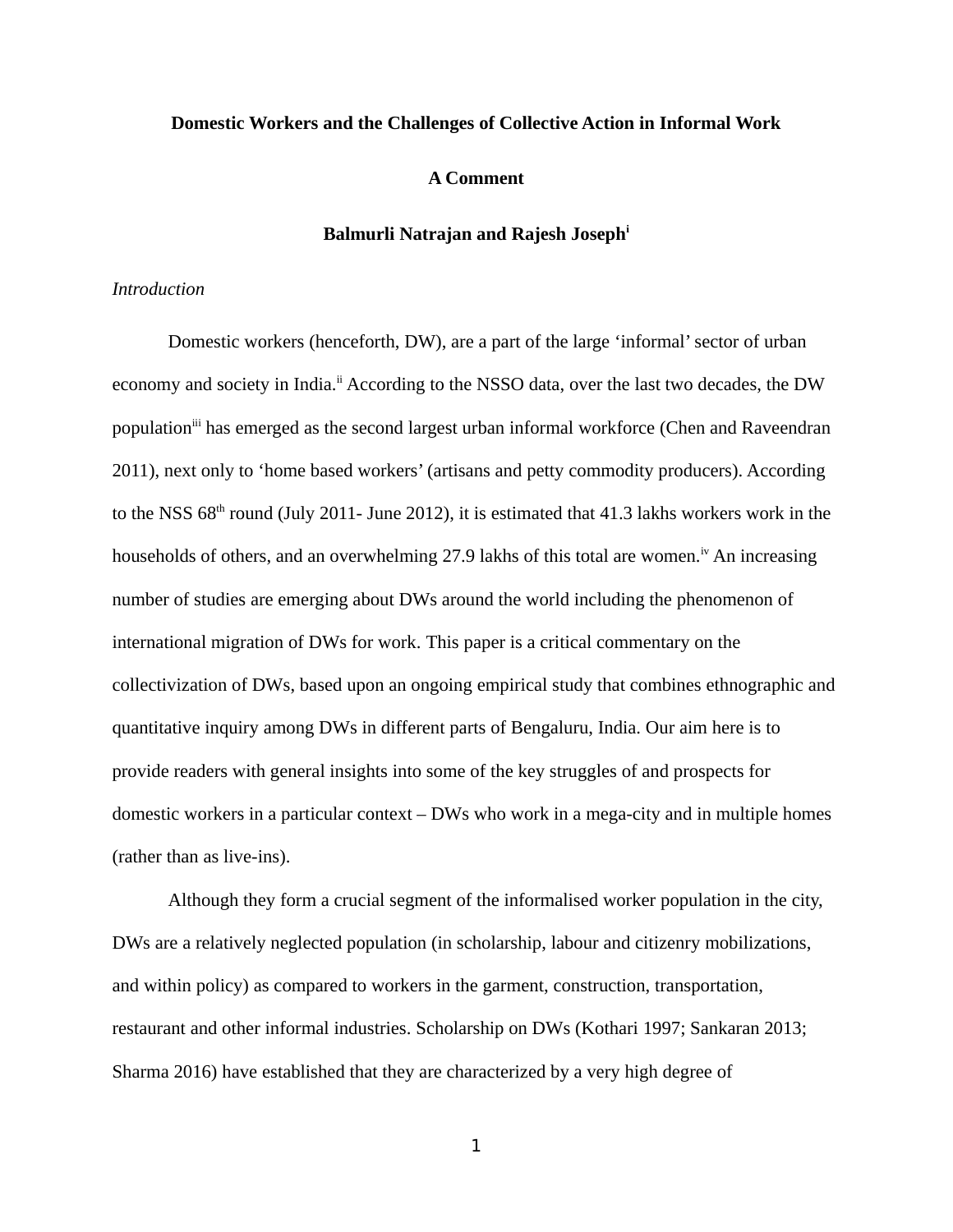#### **Domestic Workers and the Challenges of Collective Action in Informal Work**

#### **A Comment**

#### **Balmurli Natrajan and Rajesh Josephi**

#### *Introduction*

Domestic workers (henceforth, DW), are a part of the large 'informal' sector of urban economy and society in India.<sup>ii</sup> According to the NSSO data, over the last two decades, the DW population<sup>iii</sup> has emerged as the second largest urban informal workforce (Chen and Raveendran 2011), next only to 'home based workers' (artisans and petty commodity producers). According to the NSS  $68<sup>th</sup>$  round (July 2011- June 2012), it is estimated that 41.3 lakhs workers work in the households of others, and an overwhelming 27.9 lakhs of this total are women.<sup>iv</sup> An increasing number of studies are emerging about DWs around the world including the phenomenon of international migration of DWs for work. This paper is a critical commentary on the collectivization of DWs, based upon an ongoing empirical study that combines ethnographic and quantitative inquiry among DWs in different parts of Bengaluru, India. Our aim here is to provide readers with general insights into some of the key struggles of and prospects for domestic workers in a particular context – DWs who work in a mega-city and in multiple homes (rather than as live-ins).

Although they form a crucial segment of the informalised worker population in the city, DWs are a relatively neglected population (in scholarship, labour and citizenry mobilizations, and within policy) as compared to workers in the garment, construction, transportation, restaurant and other informal industries. Scholarship on DWs (Kothari 1997; Sankaran 2013; Sharma 2016) have established that they are characterized by a very high degree of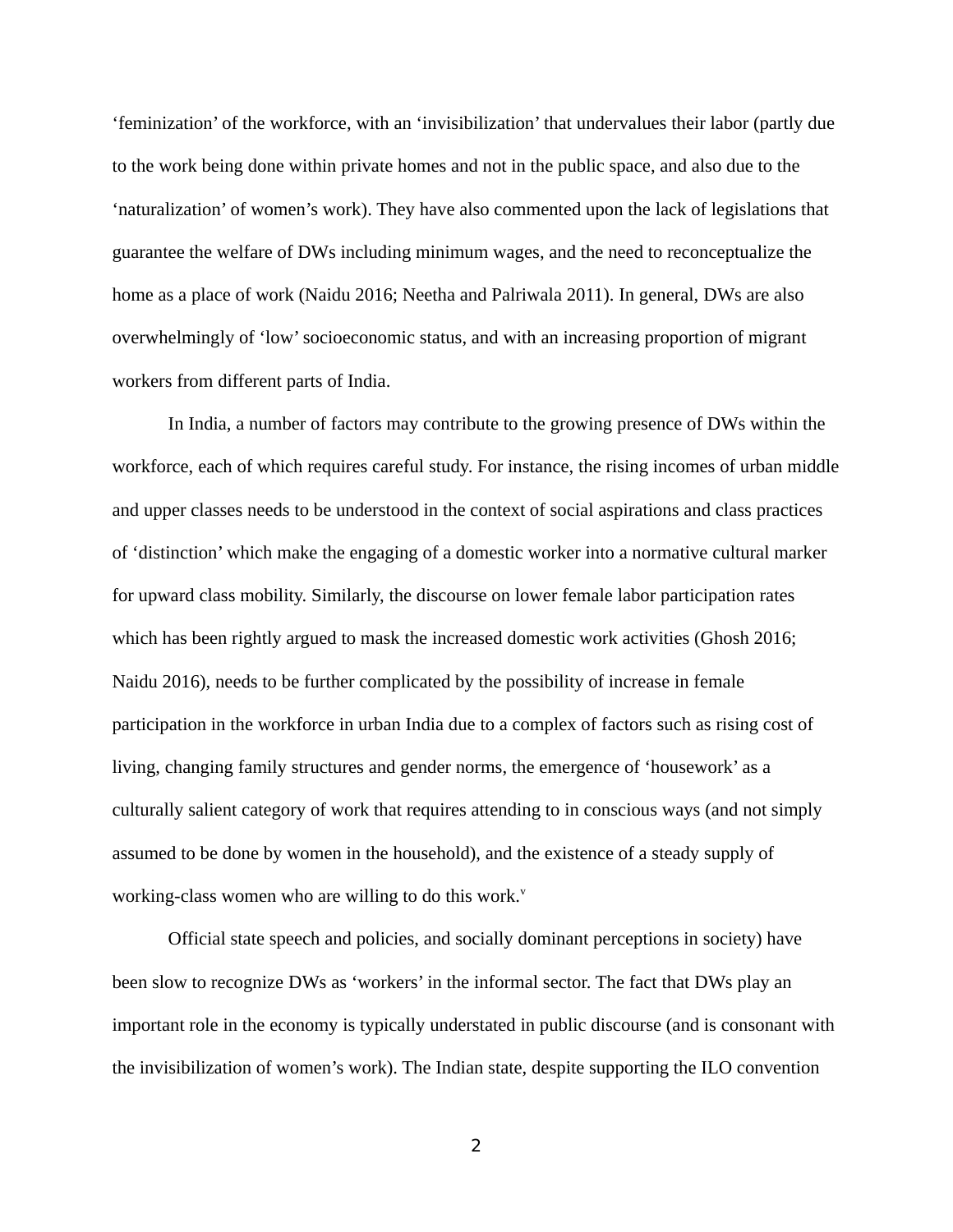'feminization' of the workforce, with an 'invisibilization' that undervalues their labor (partly due to the work being done within private homes and not in the public space, and also due to the 'naturalization' of women's work). They have also commented upon the lack of legislations that guarantee the welfare of DWs including minimum wages, and the need to reconceptualize the home as a place of work (Naidu 2016; Neetha and Palriwala 2011). In general, DWs are also overwhelmingly of 'low' socioeconomic status, and with an increasing proportion of migrant workers from different parts of India.

In India, a number of factors may contribute to the growing presence of DWs within the workforce, each of which requires careful study. For instance, the rising incomes of urban middle and upper classes needs to be understood in the context of social aspirations and class practices of 'distinction' which make the engaging of a domestic worker into a normative cultural marker for upward class mobility. Similarly, the discourse on lower female labor participation rates which has been rightly argued to mask the increased domestic work activities (Ghosh 2016; Naidu 2016), needs to be further complicated by the possibility of increase in female participation in the workforce in urban India due to a complex of factors such as rising cost of living, changing family structures and gender norms, the emergence of 'housework' as a culturally salient category of work that requires attending to in conscious ways (and not simply assumed to be done by women in the household), and the existence of a steady supply of working-class women who are willing to do this work. $v$ 

Official state speech and policies, and socially dominant perceptions in society) have been slow to recognize DWs as 'workers' in the informal sector. The fact that DWs play an important role in the economy is typically understated in public discourse (and is consonant with the invisibilization of women's work). The Indian state, despite supporting the ILO convention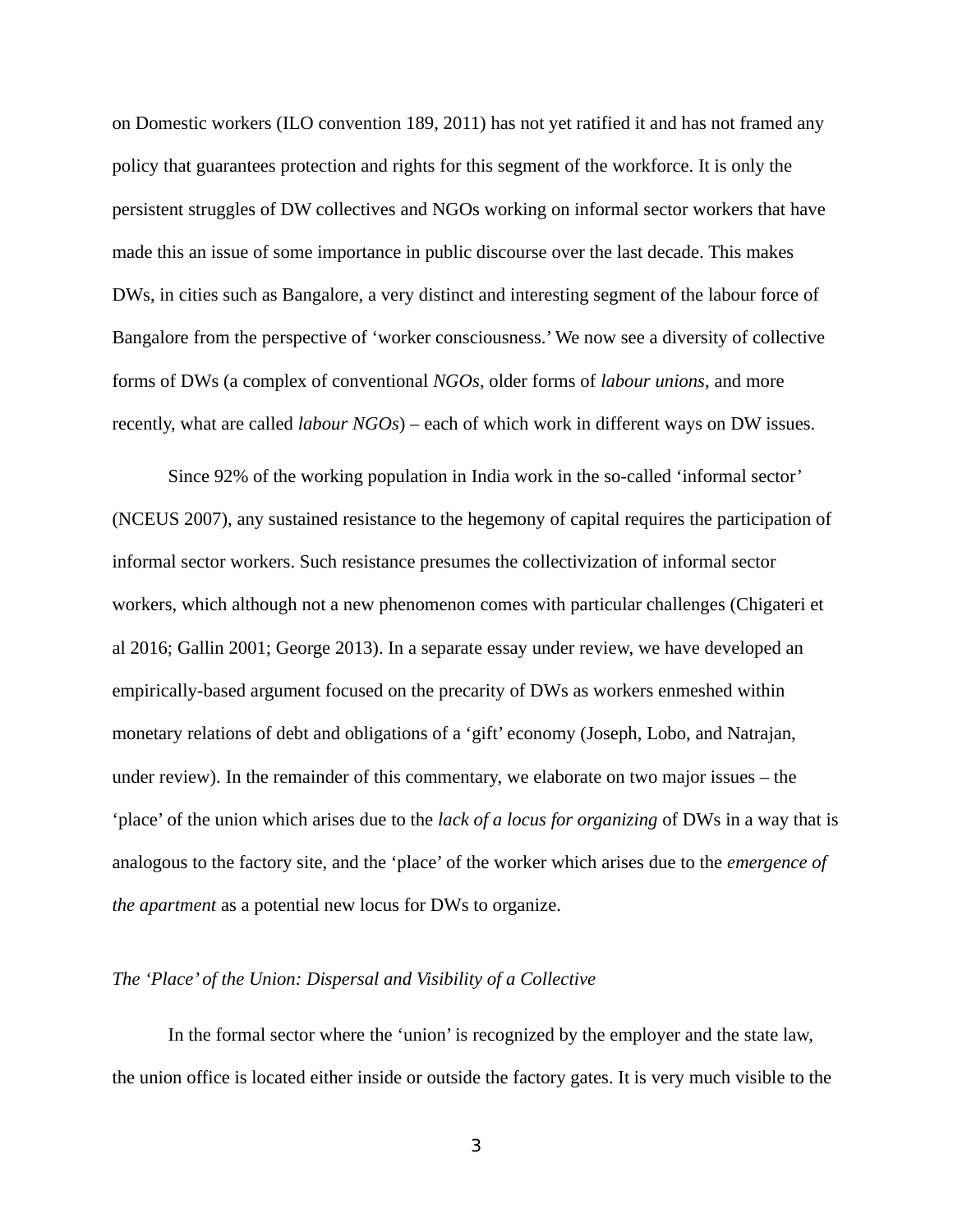on Domestic workers (ILO convention 189, 2011) has not yet ratified it and has not framed any policy that guarantees protection and rights for this segment of the workforce. It is only the persistent struggles of DW collectives and NGOs working on informal sector workers that have made this an issue of some importance in public discourse over the last decade. This makes DWs, in cities such as Bangalore, a very distinct and interesting segment of the labour force of Bangalore from the perspective of 'worker consciousness.' We now see a diversity of collective forms of DWs (a complex of conventional *NGOs*, older forms of *labour unions*, and more recently, what are called *labour NGOs*) – each of which work in different ways on DW issues.

Since 92% of the working population in India work in the so-called 'informal sector' (NCEUS 2007), any sustained resistance to the hegemony of capital requires the participation of informal sector workers. Such resistance presumes the collectivization of informal sector workers, which although not a new phenomenon comes with particular challenges (Chigateri et al 2016; Gallin 2001; George 2013). In a separate essay under review, we have developed an empirically-based argument focused on the precarity of DWs as workers enmeshed within monetary relations of debt and obligations of a 'gift' economy (Joseph, Lobo, and Natrajan, under review). In the remainder of this commentary, we elaborate on two major issues – the 'place' of the union which arises due to the *lack of a locus for organizing* of DWs in a way that is analogous to the factory site, and the 'place' of the worker which arises due to the *emergence of the apartment* as a potential new locus for DWs to organize.

#### *The 'Place' of the Union: Dispersal and Visibility of a Collective*

In the formal sector where the 'union' is recognized by the employer and the state law, the union office is located either inside or outside the factory gates. It is very much visible to the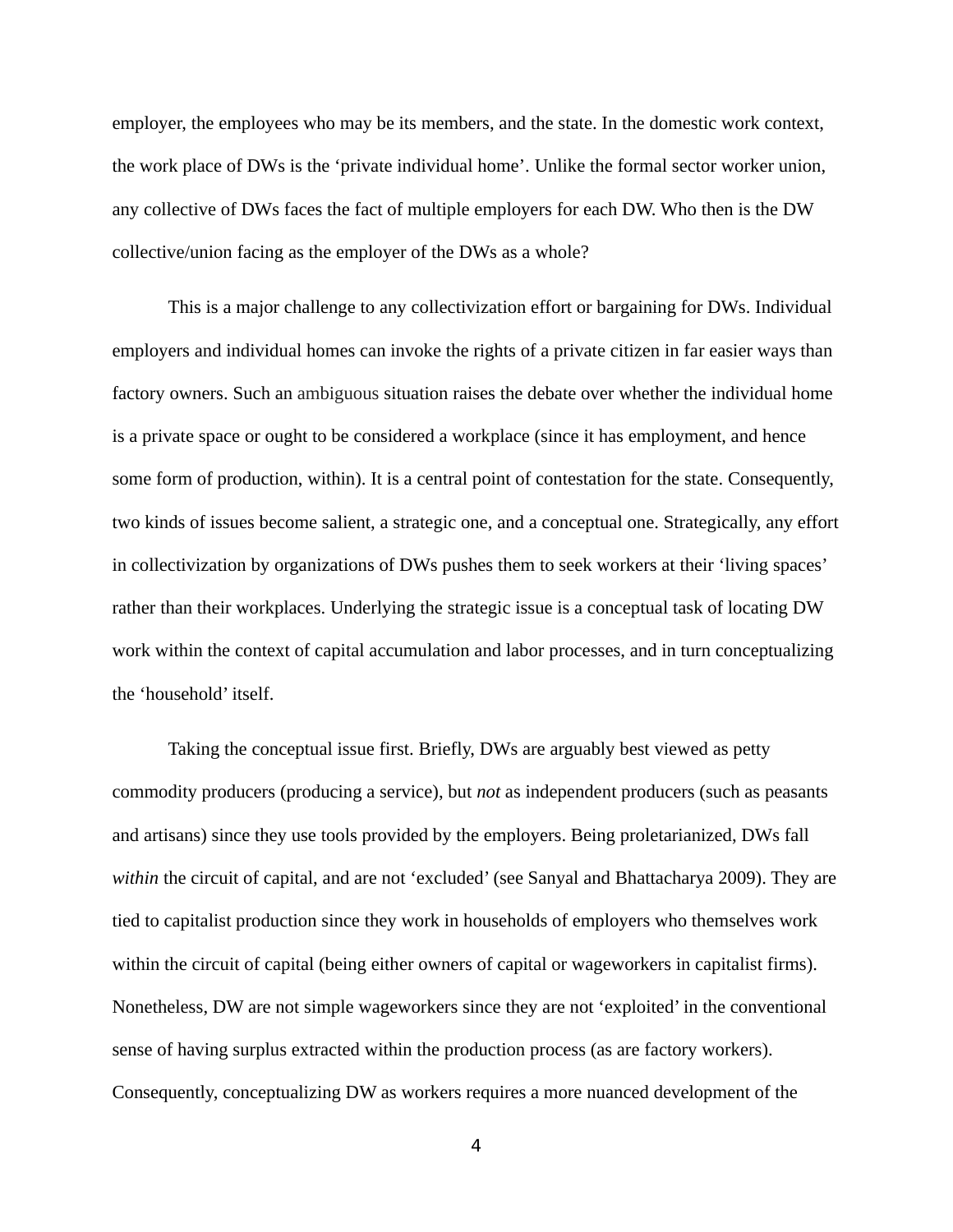employer, the employees who may be its members, and the state. In the domestic work context, the work place of DWs is the 'private individual home'. Unlike the formal sector worker union, any collective of DWs faces the fact of multiple employers for each DW. Who then is the DW collective/union facing as the employer of the DWs as a whole?

This is a major challenge to any collectivization effort or bargaining for DWs. Individual employers and individual homes can invoke the rights of a private citizen in far easier ways than factory owners. Such an ambiguous situation raises the debate over whether the individual home is a private space or ought to be considered a workplace (since it has employment, and hence some form of production, within). It is a central point of contestation for the state. Consequently, two kinds of issues become salient, a strategic one, and a conceptual one. Strategically, any effort in collectivization by organizations of DWs pushes them to seek workers at their 'living spaces' rather than their workplaces. Underlying the strategic issue is a conceptual task of locating DW work within the context of capital accumulation and labor processes, and in turn conceptualizing the 'household' itself.

Taking the conceptual issue first. Briefly, DWs are arguably best viewed as petty commodity producers (producing a service), but *not* as independent producers (such as peasants and artisans) since they use tools provided by the employers. Being proletarianized, DWs fall *within* the circuit of capital, and are not 'excluded' (see Sanyal and Bhattacharya 2009). They are tied to capitalist production since they work in households of employers who themselves work within the circuit of capital (being either owners of capital or wageworkers in capitalist firms). Nonetheless, DW are not simple wageworkers since they are not 'exploited' in the conventional sense of having surplus extracted within the production process (as are factory workers). Consequently, conceptualizing DW as workers requires a more nuanced development of the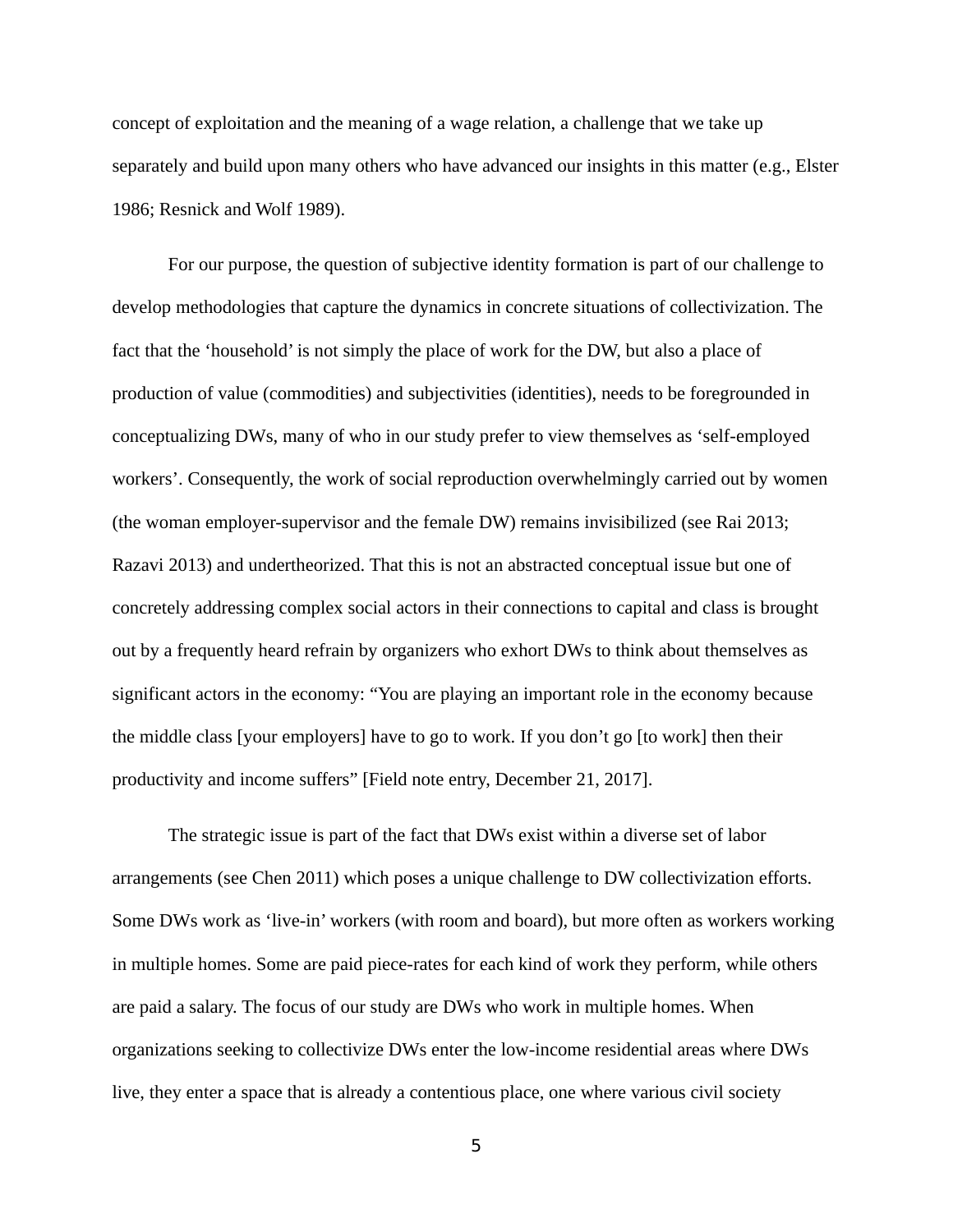concept of exploitation and the meaning of a wage relation, a challenge that we take up separately and build upon many others who have advanced our insights in this matter (e.g., Elster 1986; Resnick and Wolf 1989).

For our purpose, the question of subjective identity formation is part of our challenge to develop methodologies that capture the dynamics in concrete situations of collectivization. The fact that the 'household' is not simply the place of work for the DW, but also a place of production of value (commodities) and subjectivities (identities), needs to be foregrounded in conceptualizing DWs, many of who in our study prefer to view themselves as 'self-employed workers'. Consequently, the work of social reproduction overwhelmingly carried out by women (the woman employer-supervisor and the female DW) remains invisibilized (see Rai 2013; Razavi 2013) and undertheorized. That this is not an abstracted conceptual issue but one of concretely addressing complex social actors in their connections to capital and class is brought out by a frequently heard refrain by organizers who exhort DWs to think about themselves as significant actors in the economy: "You are playing an important role in the economy because the middle class [your employers] have to go to work. If you don't go [to work] then their productivity and income suffers" [Field note entry, December 21, 2017].

The strategic issue is part of the fact that DWs exist within a diverse set of labor arrangements (see Chen 2011) which poses a unique challenge to DW collectivization efforts. Some DWs work as 'live-in' workers (with room and board), but more often as workers working in multiple homes. Some are paid piece-rates for each kind of work they perform, while others are paid a salary. The focus of our study are DWs who work in multiple homes. When organizations seeking to collectivize DWs enter the low-income residential areas where DWs live, they enter a space that is already a contentious place, one where various civil society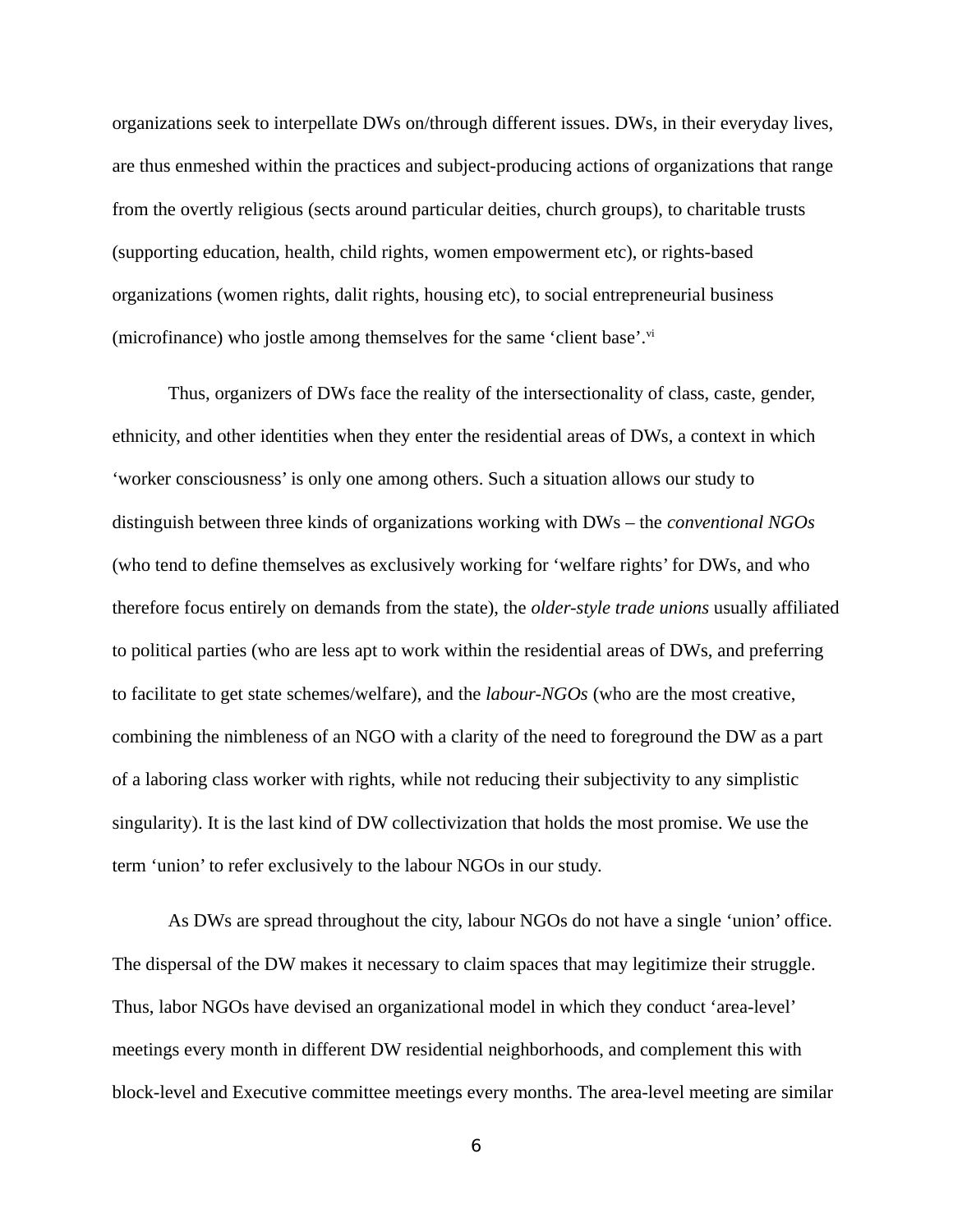organizations seek to interpellate DWs on/through different issues. DWs, in their everyday lives, are thus enmeshed within the practices and subject-producing actions of organizations that range from the overtly religious (sects around particular deities, church groups), to charitable trusts (supporting education, health, child rights, women empowerment etc), or rights-based organizations (women rights, dalit rights, housing etc), to social entrepreneurial business (microfinance) who jostle among themselves for the same 'client base'. $\rm{v}^{\rm{u}}$ 

Thus, organizers of DWs face the reality of the intersectionality of class, caste, gender, ethnicity, and other identities when they enter the residential areas of DWs, a context in which 'worker consciousness' is only one among others. Such a situation allows our study to distinguish between three kinds of organizations working with DWs – the *conventional NGOs* (who tend to define themselves as exclusively working for 'welfare rights' for DWs, and who therefore focus entirely on demands from the state), the *older-style trade unions* usually affiliated to political parties (who are less apt to work within the residential areas of DWs, and preferring to facilitate to get state schemes/welfare), and the *labour-NGOs* (who are the most creative, combining the nimbleness of an NGO with a clarity of the need to foreground the DW as a part of a laboring class worker with rights, while not reducing their subjectivity to any simplistic singularity). It is the last kind of DW collectivization that holds the most promise. We use the term 'union' to refer exclusively to the labour NGOs in our study.

As DWs are spread throughout the city, labour NGOs do not have a single 'union' office. The dispersal of the DW makes it necessary to claim spaces that may legitimize their struggle. Thus, labor NGOs have devised an organizational model in which they conduct 'area-level' meetings every month in different DW residential neighborhoods, and complement this with block-level and Executive committee meetings every months. The area-level meeting are similar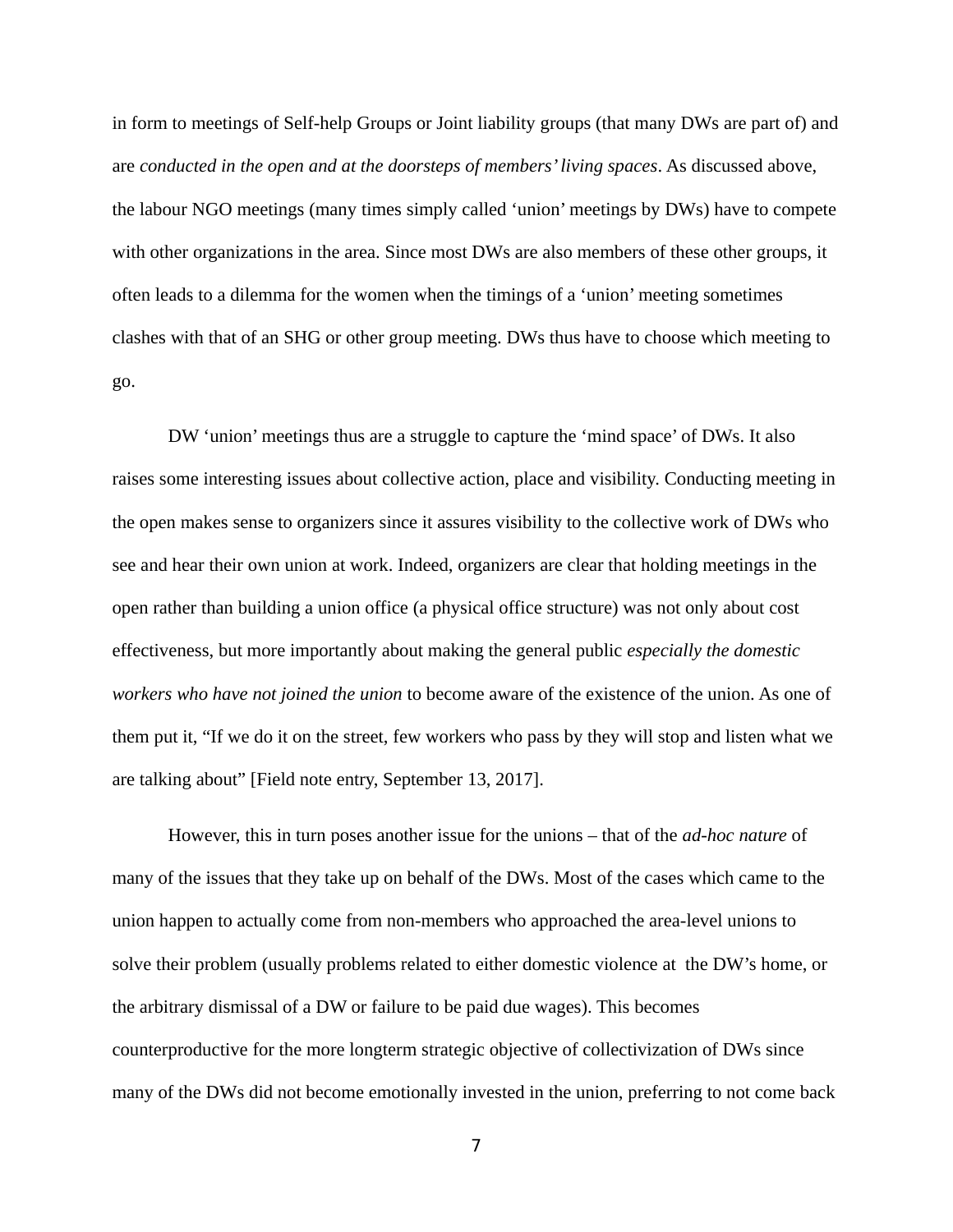in form to meetings of Self-help Groups or Joint liability groups (that many DWs are part of) and are *conducted in the open and at the doorsteps of members' living spaces*. As discussed above, the labour NGO meetings (many times simply called 'union' meetings by DWs) have to compete with other organizations in the area. Since most DWs are also members of these other groups, it often leads to a dilemma for the women when the timings of a 'union' meeting sometimes clashes with that of an SHG or other group meeting. DWs thus have to choose which meeting to go.

DW 'union' meetings thus are a struggle to capture the 'mind space' of DWs. It also raises some interesting issues about collective action, place and visibility. Conducting meeting in the open makes sense to organizers since it assures visibility to the collective work of DWs who see and hear their own union at work. Indeed, organizers are clear that holding meetings in the open rather than building a union office (a physical office structure) was not only about cost effectiveness, but more importantly about making the general public *especially the domestic workers who have not joined the union* to become aware of the existence of the union. As one of them put it, "If we do it on the street, few workers who pass by they will stop and listen what we are talking about" [Field note entry, September 13, 2017].

However, this in turn poses another issue for the unions – that of the *ad-hoc nature* of many of the issues that they take up on behalf of the DWs. Most of the cases which came to the union happen to actually come from non-members who approached the area-level unions to solve their problem (usually problems related to either domestic violence at the DW's home, or the arbitrary dismissal of a DW or failure to be paid due wages). This becomes counterproductive for the more longterm strategic objective of collectivization of DWs since many of the DWs did not become emotionally invested in the union, preferring to not come back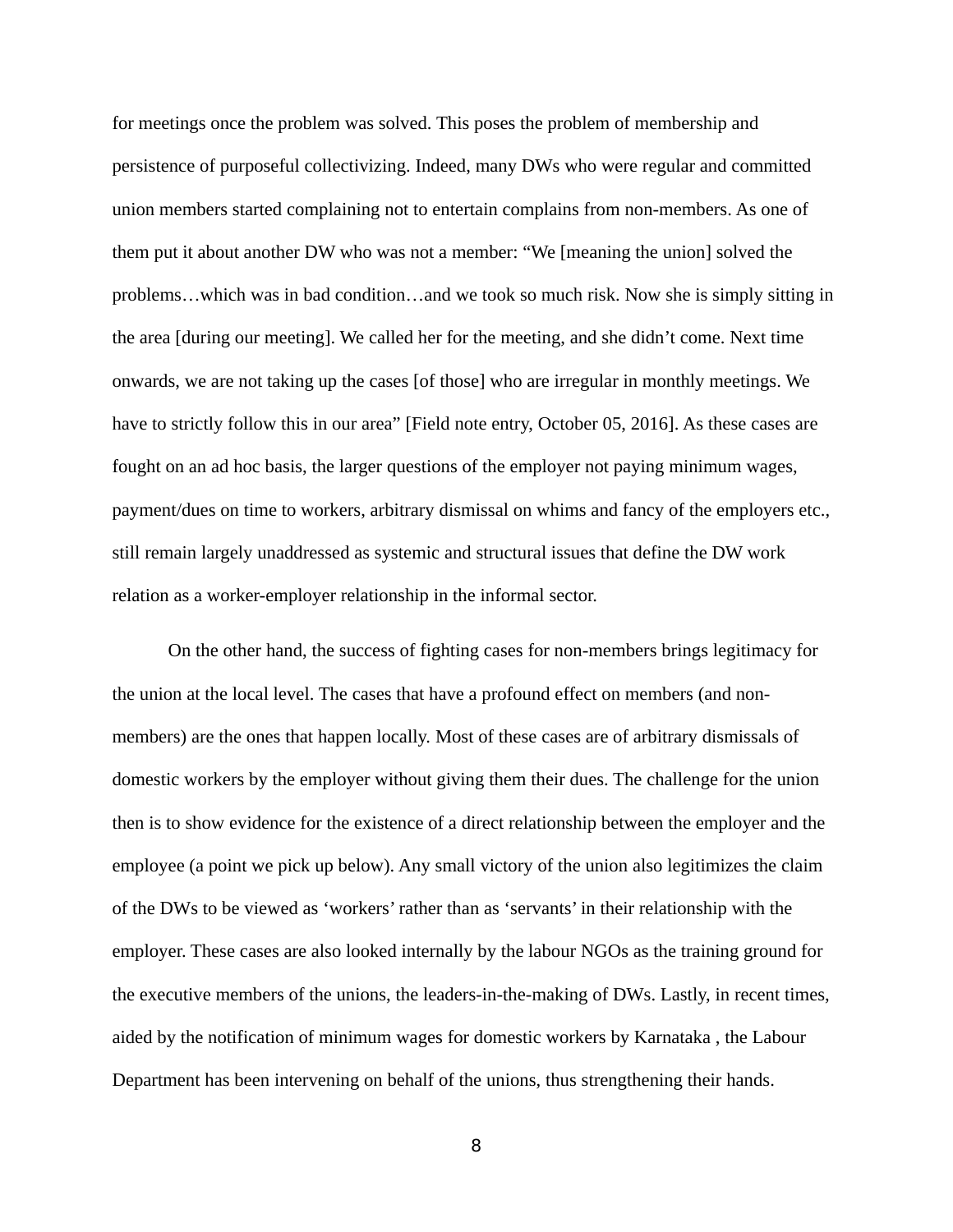for meetings once the problem was solved. This poses the problem of membership and persistence of purposeful collectivizing. Indeed, many DWs who were regular and committed union members started complaining not to entertain complains from non-members. As one of them put it about another DW who was not a member: "We [meaning the union] solved the problems…which was in bad condition…and we took so much risk. Now she is simply sitting in the area [during our meeting]. We called her for the meeting, and she didn't come. Next time onwards, we are not taking up the cases [of those] who are irregular in monthly meetings. We have to strictly follow this in our area" [Field note entry, October 05, 2016]. As these cases are fought on an ad hoc basis, the larger questions of the employer not paying minimum wages, payment/dues on time to workers, arbitrary dismissal on whims and fancy of the employers etc., still remain largely unaddressed as systemic and structural issues that define the DW work relation as a worker-employer relationship in the informal sector.

On the other hand, the success of fighting cases for non-members brings legitimacy for the union at the local level. The cases that have a profound effect on members (and nonmembers) are the ones that happen locally. Most of these cases are of arbitrary dismissals of domestic workers by the employer without giving them their dues. The challenge for the union then is to show evidence for the existence of a direct relationship between the employer and the employee (a point we pick up below). Any small victory of the union also legitimizes the claim of the DWs to be viewed as 'workers' rather than as 'servants' in their relationship with the employer. These cases are also looked internally by the labour NGOs as the training ground for the executive members of the unions, the leaders-in-the-making of DWs. Lastly, in recent times, aided by the notification of minimum wages for domestic workers by Karnataka , the Labour Department has been intervening on behalf of the unions, thus strengthening their hands.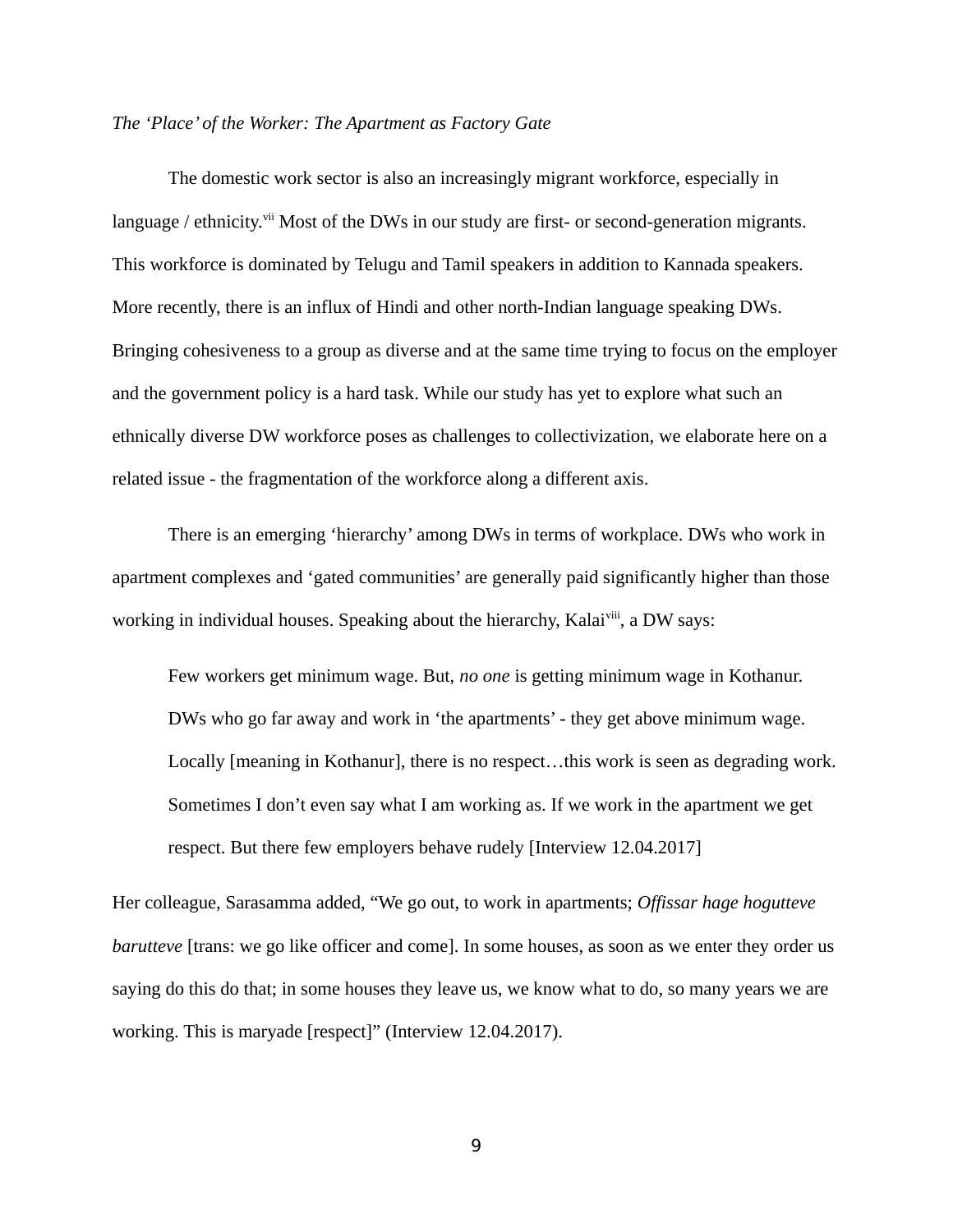#### *The 'Place' of the Worker: The Apartment as Factory Gate*

The domestic work sector is also an increasingly migrant workforce, especially in language / ethnicity.<sup>vii</sup> Most of the DWs in our study are first- or second-generation migrants. This workforce is dominated by Telugu and Tamil speakers in addition to Kannada speakers. More recently, there is an influx of Hindi and other north-Indian language speaking DWs. Bringing cohesiveness to a group as diverse and at the same time trying to focus on the employer and the government policy is a hard task. While our study has yet to explore what such an ethnically diverse DW workforce poses as challenges to collectivization, we elaborate here on a related issue - the fragmentation of the workforce along a different axis.

There is an emerging 'hierarchy' among DWs in terms of workplace. DWs who work in apartment complexes and 'gated communities' are generally paid significantly higher than those working in individual houses. Speaking about the hierarchy, Kalai<sup>viii</sup>, a DW says:

Few workers get minimum wage. But, *no one* is getting minimum wage in Kothanur. DWs who go far away and work in 'the apartments' - they get above minimum wage. Locally [meaning in Kothanur], there is no respect…this work is seen as degrading work. Sometimes I don't even say what I am working as. If we work in the apartment we get respect. But there few employers behave rudely [Interview 12.04.2017]

Her colleague, Sarasamma added, "We go out, to work in apartments; *Offissar hage hogutteve barutteve* [trans: we go like officer and come]. In some houses, as soon as we enter they order us saying do this do that; in some houses they leave us, we know what to do, so many years we are working. This is maryade [respect]" (Interview 12.04.2017).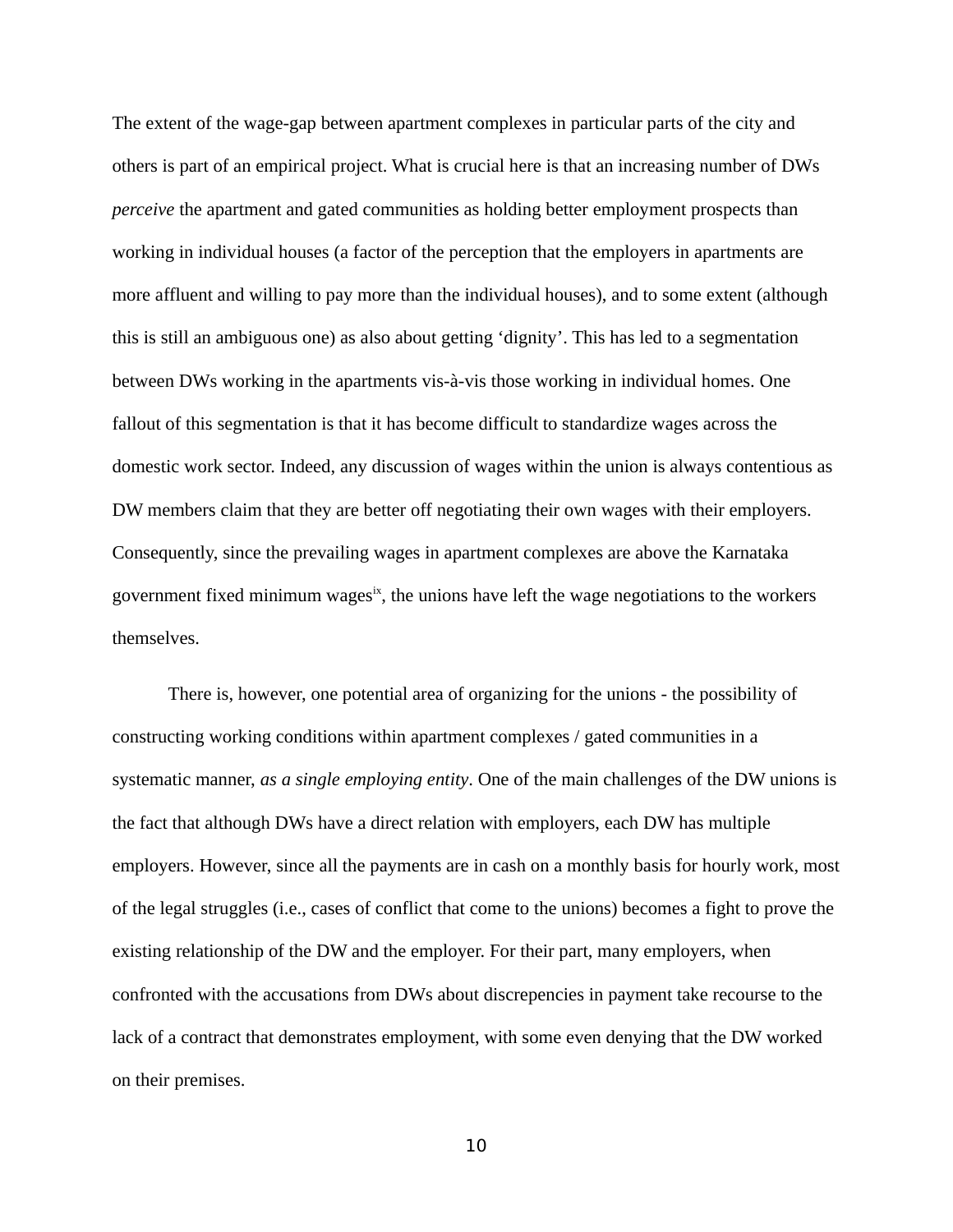The extent of the wage-gap between apartment complexes in particular parts of the city and others is part of an empirical project. What is crucial here is that an increasing number of DWs *perceive* the apartment and gated communities as holding better employment prospects than working in individual houses (a factor of the perception that the employers in apartments are more affluent and willing to pay more than the individual houses), and to some extent (although this is still an ambiguous one) as also about getting 'dignity'. This has led to a segmentation between DWs working in the apartments vis-à-vis those working in individual homes. One fallout of this segmentation is that it has become difficult to standardize wages across the domestic work sector. Indeed, any discussion of wages within the union is always contentious as DW members claim that they are better off negotiating their own wages with their employers. Consequently, since the prevailing wages in apartment complexes are above the Karnataka government fixed minimum wages<sup>ix</sup>, the unions have left the wage negotiations to the workers themselves.

There is, however, one potential area of organizing for the unions - the possibility of constructing working conditions within apartment complexes / gated communities in a systematic manner, *as a single employing entity*. One of the main challenges of the DW unions is the fact that although DWs have a direct relation with employers, each DW has multiple employers. However, since all the payments are in cash on a monthly basis for hourly work, most of the legal struggles (i.e., cases of conflict that come to the unions) becomes a fight to prove the existing relationship of the DW and the employer. For their part, many employers, when confronted with the accusations from DWs about discrepencies in payment take recourse to the lack of a contract that demonstrates employment, with some even denying that the DW worked on their premises.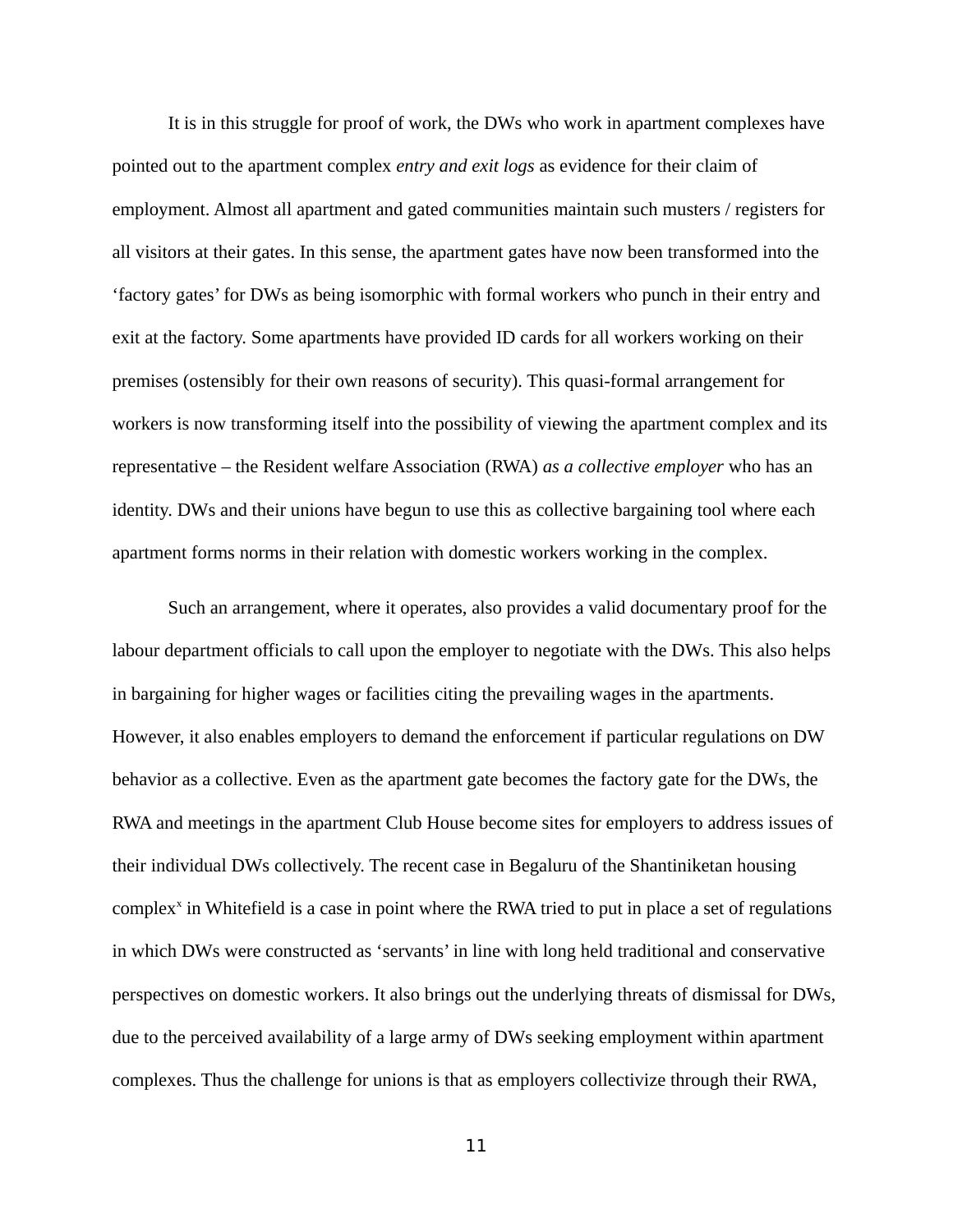It is in this struggle for proof of work, the DWs who work in apartment complexes have pointed out to the apartment complex *entry and exit logs* as evidence for their claim of employment. Almost all apartment and gated communities maintain such musters / registers for all visitors at their gates. In this sense, the apartment gates have now been transformed into the 'factory gates' for DWs as being isomorphic with formal workers who punch in their entry and exit at the factory. Some apartments have provided ID cards for all workers working on their premises (ostensibly for their own reasons of security). This quasi-formal arrangement for workers is now transforming itself into the possibility of viewing the apartment complex and its representative – the Resident welfare Association (RWA) *as a collective employer* who has an identity. DWs and their unions have begun to use this as collective bargaining tool where each apartment forms norms in their relation with domestic workers working in the complex.

Such an arrangement, where it operates, also provides a valid documentary proof for the labour department officials to call upon the employer to negotiate with the DWs. This also helps in bargaining for higher wages or facilities citing the prevailing wages in the apartments. However, it also enables employers to demand the enforcement if particular regulations on DW behavior as a collective. Even as the apartment gate becomes the factory gate for the DWs, the RWA and meetings in the apartment Club House become sites for employers to address issues of their individual DWs collectively. The recent case in Begaluru of the Shantiniketan housing complex<sup>x</sup> in Whitefield is a case in point where the RWA tried to put in place a set of regulations in which DWs were constructed as 'servants' in line with long held traditional and conservative perspectives on domestic workers. It also brings out the underlying threats of dismissal for DWs, due to the perceived availability of a large army of DWs seeking employment within apartment complexes. Thus the challenge for unions is that as employers collectivize through their RWA,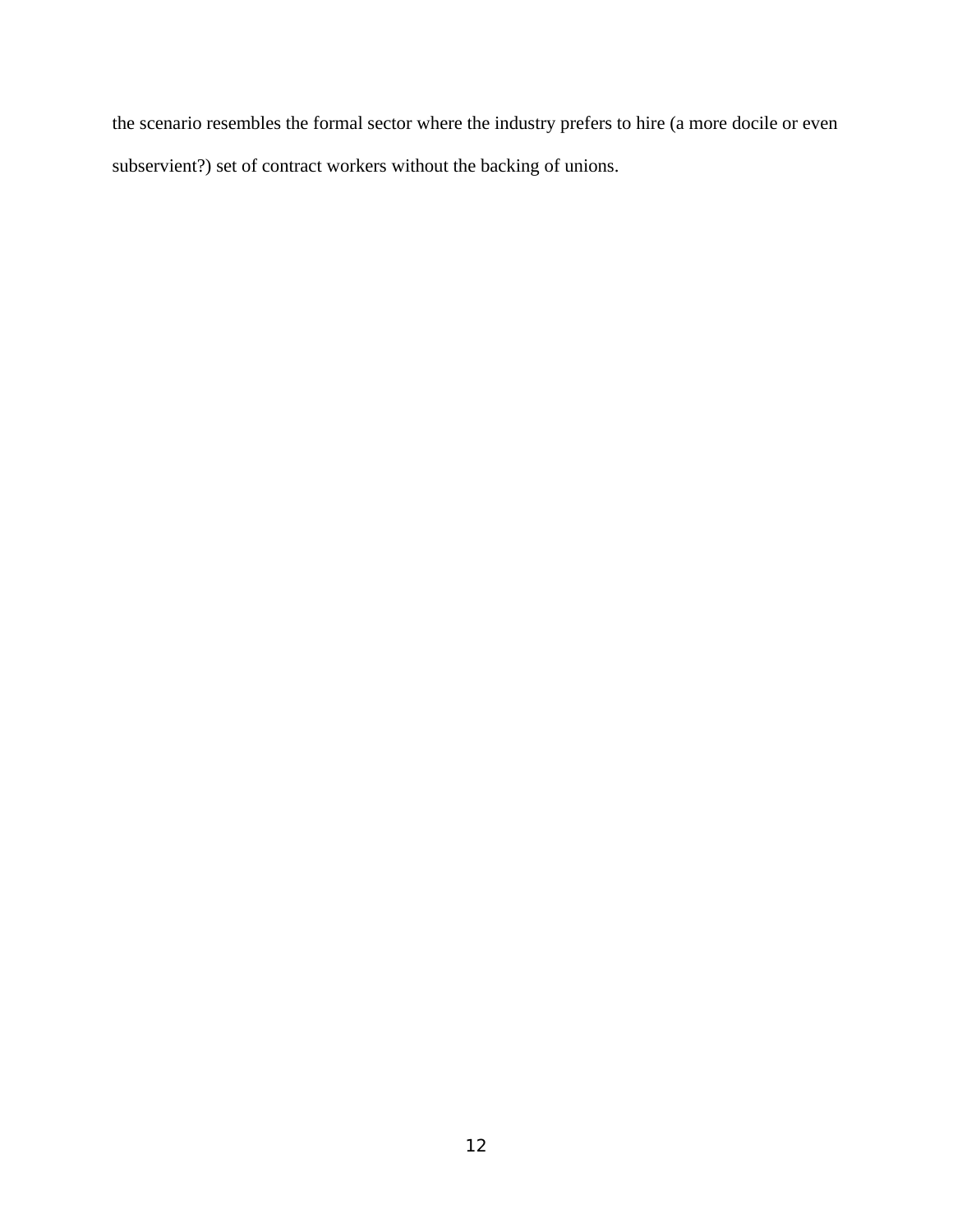the scenario resembles the formal sector where the industry prefers to hire (a more docile or even subservient?) set of contract workers without the backing of unions.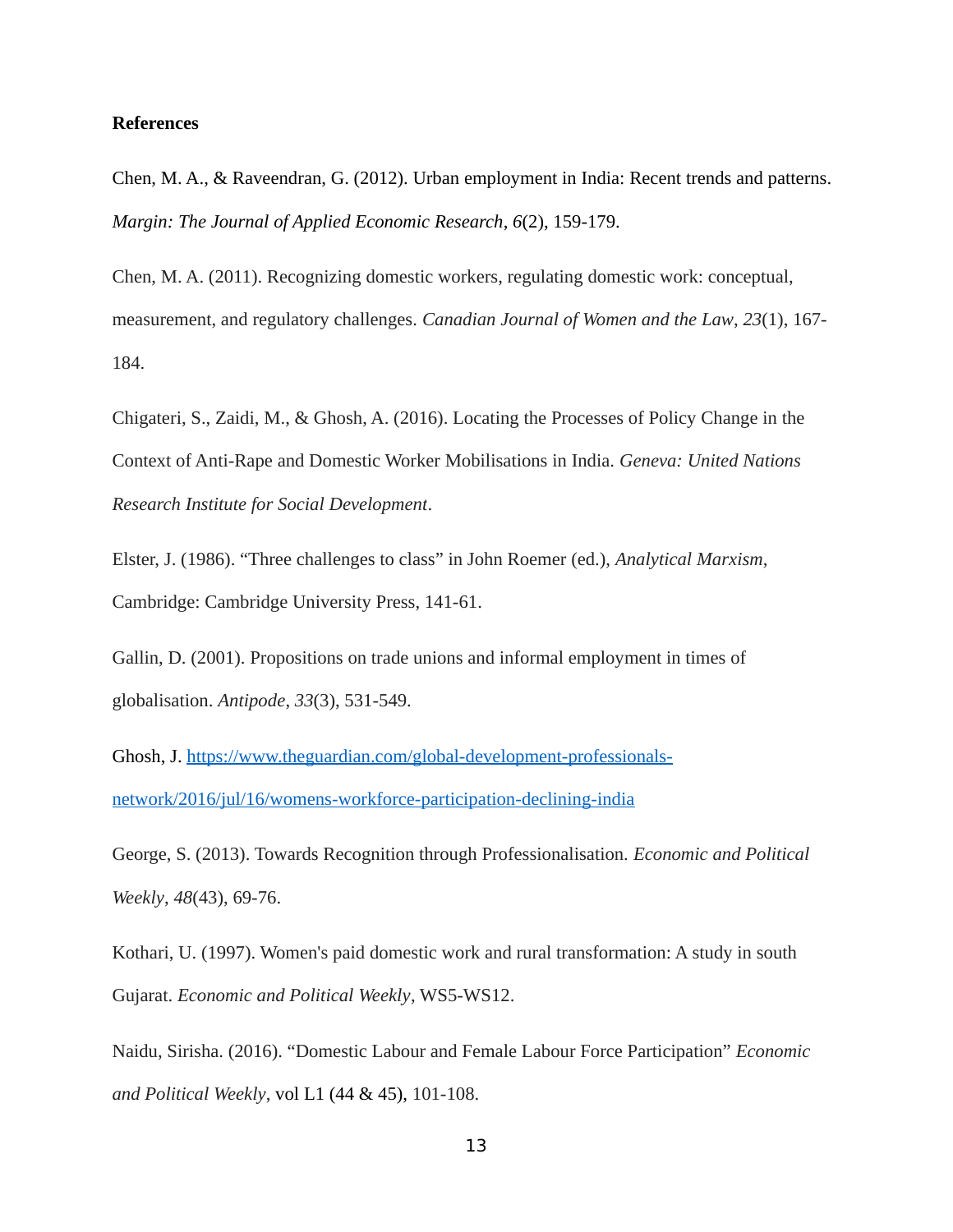#### **References**

Chen, M. A., & Raveendran, G. (2012). Urban employment in India: Recent trends and patterns. *Margin: The Journal of Applied Economic Research*, *6*(2), 159-179.

Chen, M. A. (2011). Recognizing domestic workers, regulating domestic work: conceptual, measurement, and regulatory challenges. *Canadian Journal of Women and the Law*, *23*(1), 167- 184.

Chigateri, S., Zaidi, M., & Ghosh, A. (2016). Locating the Processes of Policy Change in the Context of Anti-Rape and Domestic Worker Mobilisations in India. *Geneva: United Nations Research Institute for Social Development*.

Elster, J. (1986). "Three challenges to class" in John Roemer (ed.), *Analytical Marxism*, Cambridge: Cambridge University Press, 141-61.

Gallin, D. (2001). Propositions on trade unions and informal employment in times of globalisation. *Antipode*, *33*(3), 531-549.

Ghosh, J. https://www.theguardian.com/global-development-professionalsnetwork/2016/jul/16/womens-workforce-participation-declining-india

George, S. (2013). Towards Recognition through Professionalisation. *Economic and Political Weekly*, *48*(43), 69-76.

Kothari, U. (1997). Women's paid domestic work and rural transformation: A study in south Gujarat. *Economic and Political Weekly*, WS5-WS12.

Naidu, Sirisha. (2016). "Domestic Labour and Female Labour Force Participation" *Economic and Political Weekly*, vol L1 (44 & 45), 101-108.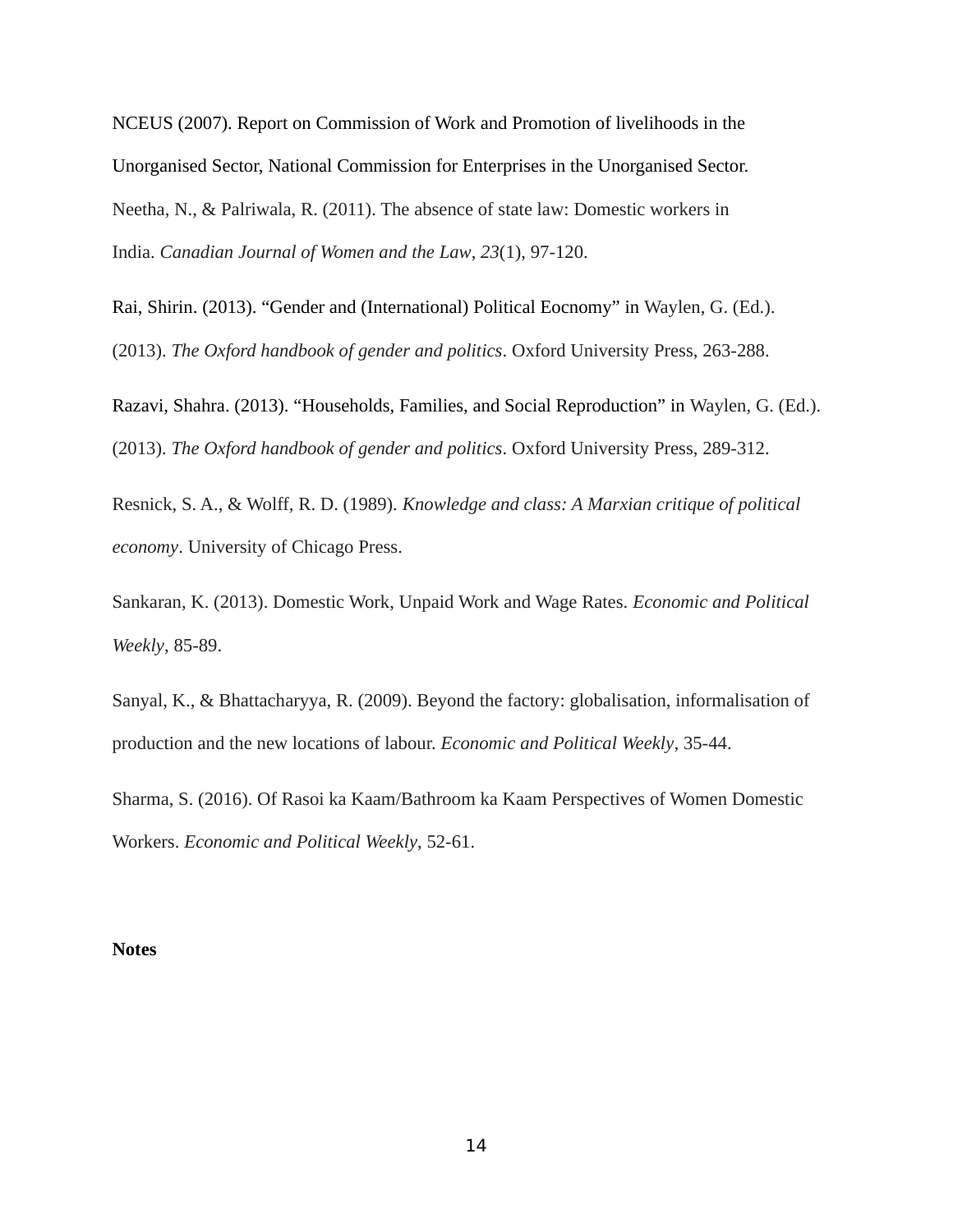NCEUS (2007). Report on Commission of Work and Promotion of livelihoods in the Unorganised Sector, National Commission for Enterprises in the Unorganised Sector. Neetha, N., & Palriwala, R. (2011). The absence of state law: Domestic workers in India. *Canadian Journal of Women and the Law*, *23*(1), 97-120.

Rai, Shirin. (2013). "Gender and (International) Political Eocnomy" in Waylen, G. (Ed.). (2013). *The Oxford handbook of gender and politics*. Oxford University Press, 263-288.

Razavi, Shahra. (2013). "Households, Families, and Social Reproduction" in Waylen, G. (Ed.). (2013). *The Oxford handbook of gender and politics*. Oxford University Press, 289-312.

Resnick, S. A., & Wolff, R. D. (1989). *Knowledge and class: A Marxian critique of political economy*. University of Chicago Press.

Sankaran, K. (2013). Domestic Work, Unpaid Work and Wage Rates. *Economic and Political Weekly*, 85-89.

Sanyal, K., & Bhattacharyya, R. (2009). Beyond the factory: globalisation, informalisation of production and the new locations of labour. *Economic and Political Weekly*, 35-44.

Sharma, S. (2016). Of Rasoi ka Kaam/Bathroom ka Kaam Perspectives of Women Domestic Workers. *Economic and Political Weekly*, 52-61.

#### **Notes**